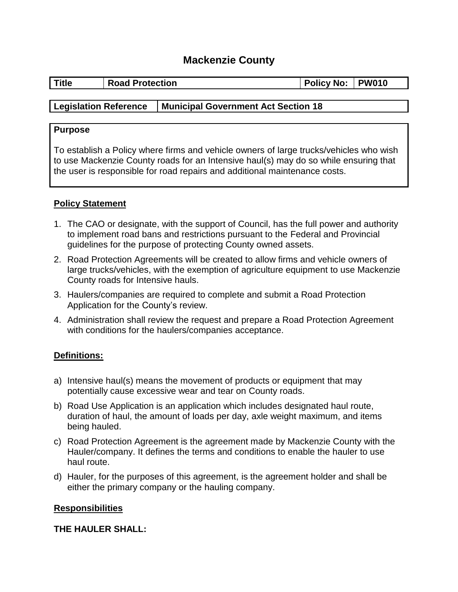# **Mackenzie County**

| <b>Title</b> | <b>Road Protection</b> |  | Policy No: PW010 |  |
|--------------|------------------------|--|------------------|--|
|              |                        |  |                  |  |

### **Legislation Reference Municipal Government Act Section 18**

#### **Purpose**

To establish a Policy where firms and vehicle owners of large trucks/vehicles who wish to use Mackenzie County roads for an Intensive haul(s) may do so while ensuring that the user is responsible for road repairs and additional maintenance costs.

### **Policy Statement**

- 1. The CAO or designate, with the support of Council, has the full power and authority to implement road bans and restrictions pursuant to the Federal and Provincial guidelines for the purpose of protecting County owned assets.
- 2. Road Protection Agreements will be created to allow firms and vehicle owners of large trucks/vehicles, with the exemption of agriculture equipment to use Mackenzie County roads for Intensive hauls.
- 3. Haulers/companies are required to complete and submit a Road Protection Application for the County's review.
- 4. Administration shall review the request and prepare a Road Protection Agreement with conditions for the haulers/companies acceptance.

### **Definitions:**

- a) Intensive haul(s) means the movement of products or equipment that may potentially cause excessive wear and tear on County roads.
- b) Road Use Application is an application which includes designated haul route, duration of haul, the amount of loads per day, axle weight maximum, and items being hauled.
- c) Road Protection Agreement is the agreement made by Mackenzie County with the Hauler/company. It defines the terms and conditions to enable the hauler to use haul route.
- d) Hauler, for the purposes of this agreement, is the agreement holder and shall be either the primary company or the hauling company.

#### **Responsibilities**

#### **THE HAULER SHALL:**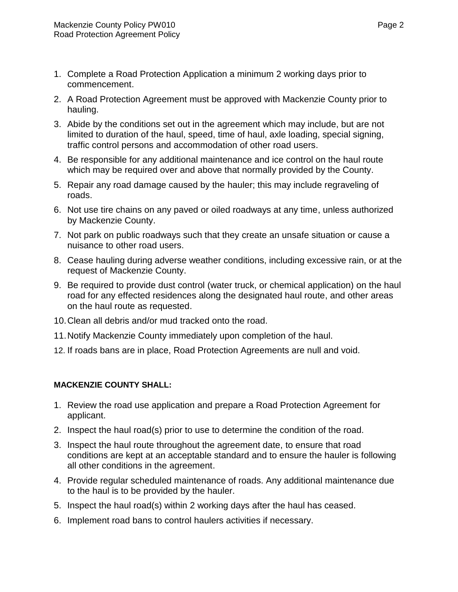- 1. Complete a Road Protection Application a minimum 2 working days prior to commencement.
- 2. A Road Protection Agreement must be approved with Mackenzie County prior to hauling.
- 3. Abide by the conditions set out in the agreement which may include, but are not limited to duration of the haul, speed, time of haul, axle loading, special signing, traffic control persons and accommodation of other road users.
- 4. Be responsible for any additional maintenance and ice control on the haul route which may be required over and above that normally provided by the County.
- 5. Repair any road damage caused by the hauler; this may include regraveling of roads.
- 6. Not use tire chains on any paved or oiled roadways at any time, unless authorized by Mackenzie County.
- 7. Not park on public roadways such that they create an unsafe situation or cause a nuisance to other road users.
- 8. Cease hauling during adverse weather conditions, including excessive rain, or at the request of Mackenzie County.
- 9. Be required to provide dust control (water truck, or chemical application) on the haul road for any effected residences along the designated haul route, and other areas on the haul route as requested.
- 10.Clean all debris and/or mud tracked onto the road.
- 11.Notify Mackenzie County immediately upon completion of the haul.
- 12. If roads bans are in place, Road Protection Agreements are null and void.

## **MACKENZIE COUNTY SHALL:**

- 1. Review the road use application and prepare a Road Protection Agreement for applicant.
- 2. Inspect the haul road(s) prior to use to determine the condition of the road.
- 3. Inspect the haul route throughout the agreement date, to ensure that road conditions are kept at an acceptable standard and to ensure the hauler is following all other conditions in the agreement.
- 4. Provide regular scheduled maintenance of roads. Any additional maintenance due to the haul is to be provided by the hauler.
- 5. Inspect the haul road(s) within 2 working days after the haul has ceased.
- 6. Implement road bans to control haulers activities if necessary.